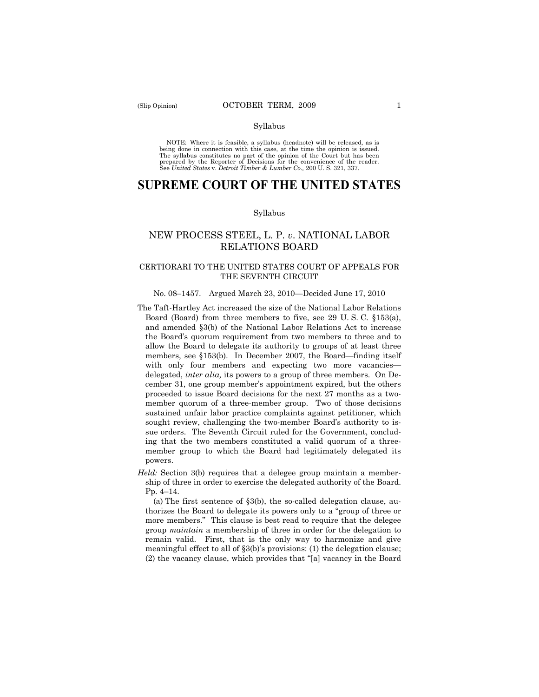#### Syllabus

NOTE: Where it is feasible, a syllabus (headnote) will be released, as is being done in connection with this case, at the time the opinion is issued. The syllabus constitutes no part of the opinion of the Court but has been<br>prepared by the Reporter of Decisions for the convenience of the reader.<br>See United States v. Detroit Timber & Lumber Co., 200 U. S. 321, 337.

# **SUPREME COURT OF THE UNITED STATES**

#### Syllabus

# NEW PROCESS STEEL, L. P. *v*. NATIONAL LABOR RELATIONS BOARD

## CERTIORARI TO THE UNITED STATES COURT OF APPEALS FOR THE SEVENTH CIRCUIT

#### No. 08–1457. Argued March 23, 2010—Decided June 17, 2010

- The Taft-Hartley Act increased the size of the National Labor Relations Board (Board) from three members to five, see 29 U. S. C. §153(a), and amended §3(b) of the National Labor Relations Act to increase the Board's quorum requirement from two members to three and to allow the Board to delegate its authority to groups of at least three members, see §153(b). In December 2007, the Board—finding itself with only four members and expecting two more vacancies delegated, *inter alia,* its powers to a group of three members. On December 31, one group member's appointment expired, but the others proceeded to issue Board decisions for the next 27 months as a twomember quorum of a three-member group. Two of those decisions sustained unfair labor practice complaints against petitioner, which sought review, challenging the two-member Board's authority to issue orders. The Seventh Circuit ruled for the Government, concluding that the two members constituted a valid quorum of a threemember group to which the Board had legitimately delegated its powers.
- *Held:* Section 3(b) requires that a delegee group maintain a membership of three in order to exercise the delegated authority of the Board. Pp. 4–14.

(a) The first sentence of §3(b), the so-called delegation clause, authorizes the Board to delegate its powers only to a "group of three or more members." This clause is best read to require that the delegee group *maintain* a membership of three in order for the delegation to remain valid. First, that is the only way to harmonize and give meaningful effect to all of §3(b)'s provisions: (1) the delegation clause; (2) the vacancy clause, which provides that "[a] vacancy in the Board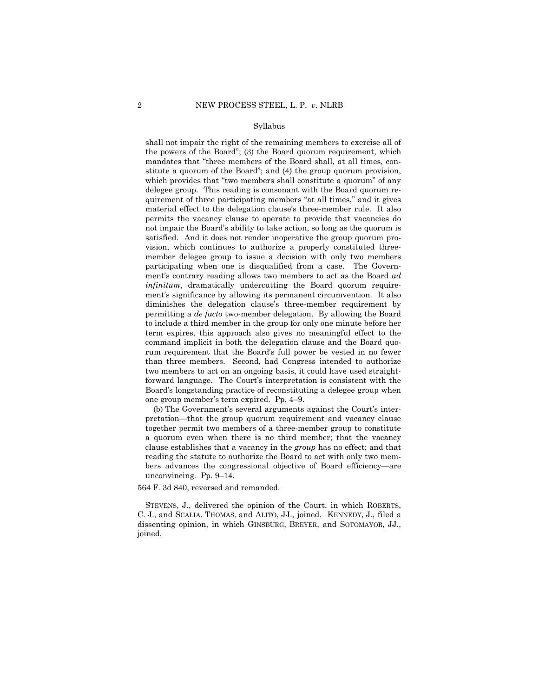#### Syllabus

shall not impair the right of the remaining members to exercise all of the powers of the Board"; (3) the Board quorum requirement, which mandates that "three members of the Board shall, at all times, constitute a quorum of the Board"; and (4) the group quorum provision, which provides that "two members shall constitute a quorum" of any delegee group. This reading is consonant with the Board quorum requirement of three participating members "at all times," and it gives material effect to the delegation clause's three-member rule. It also permits the vacancy clause to operate to provide that vacancies do not impair the Board's ability to take action, so long as the quorum is satisfied. And it does not render inoperative the group quorum provision, which continues to authorize a properly constituted threemember delegee group to issue a decision with only two members participating when one is disqualified from a case. The Government's contrary reading allows two members to act as the Board *ad infinitum*, dramatically undercutting the Board quorum requirement's significance by allowing its permanent circumvention. It also diminishes the delegation clause's three-member requirement by permitting a *de facto* two-member delegation. By allowing the Board to include a third member in the group for only one minute before her term expires, this approach also gives no meaningful effect to the command implicit in both the delegation clause and the Board quorum requirement that the Board's full power be vested in no fewer than three members. Second, had Congress intended to authorize two members to act on an ongoing basis, it could have used straightforward language. The Court's interpretation is consistent with the Board's longstanding practice of reconstituting a delegee group when one group member's term expired. Pp. 4–9.

(b) The Government's several arguments against the Court's interpretation—that the group quorum requirement and vacancy clause together permit two members of a three-member group to constitute a quorum even when there is no third member; that the vacancy clause establishes that a vacancy in the *group* has no effect; and that reading the statute to authorize the Board to act with only two members advances the congressional objective of Board efficiency—are unconvincing. Pp. 9–14.

564 F. 3d 840, reversed and remanded.

STEVENS, J., delivered the opinion of the Court, in which ROBERTS, C. J., and SCALIA, THOMAS, and ALITO, JJ., joined. KENNEDY, J., filed a dissenting opinion, in which GINSBURG, BREYER, and SOTOMAYOR, JJ., joined.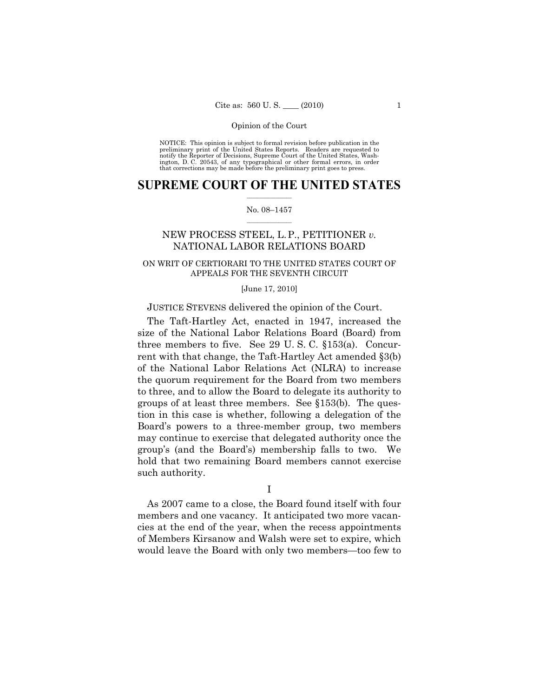NOTICE: This opinion is subject to formal revision before publication in the preliminary print of the United States Reports. Readers are requested to notify the Reporter of Decisions, Supreme Court of the United States, Washington, D. C. 20543, of any typographical or other formal errors, in order that corrections may be made before the preliminary print goes to press.

### $\frac{1}{2}$  ,  $\frac{1}{2}$  ,  $\frac{1}{2}$  ,  $\frac{1}{2}$  ,  $\frac{1}{2}$  ,  $\frac{1}{2}$  ,  $\frac{1}{2}$ **SUPREME COURT OF THE UNITED STATES**

#### $\frac{1}{2}$  ,  $\frac{1}{2}$  ,  $\frac{1}{2}$  ,  $\frac{1}{2}$  ,  $\frac{1}{2}$  ,  $\frac{1}{2}$ No. 08–1457

# NEW PROCESS STEEL, L.P., PETITIONER *v.*  NATIONAL LABOR RELATIONS BOARD

# ON WRIT OF CERTIORARI TO THE UNITED STATES COURT OF APPEALS FOR THE SEVENTH CIRCUIT

#### [June 17, 2010]

### JUSTICE STEVENS delivered the opinion of the Court.

The Taft-Hartley Act, enacted in 1947, increased the size of the National Labor Relations Board (Board) from three members to five. See 29 U. S. C. §153(a). Concurrent with that change, the Taft-Hartley Act amended §3(b) of the National Labor Relations Act (NLRA) to increase the quorum requirement for the Board from two members to three, and to allow the Board to delegate its authority to groups of at least three members. See §153(b). The question in this case is whether, following a delegation of the Board's powers to a three-member group, two members may continue to exercise that delegated authority once the group's (and the Board's) membership falls to two. We hold that two remaining Board members cannot exercise such authority.

I

As 2007 came to a close, the Board found itself with four members and one vacancy. It anticipated two more vacancies at the end of the year, when the recess appointments of Members Kirsanow and Walsh were set to expire, which would leave the Board with only two members—too few to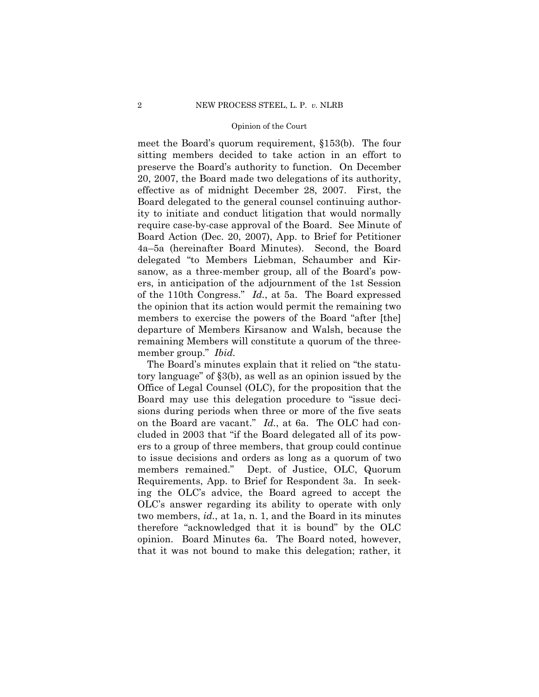meet the Board's quorum requirement, §153(b). The four sitting members decided to take action in an effort to preserve the Board's authority to function. On December 20, 2007, the Board made two delegations of its authority, effective as of midnight December 28, 2007. First, the Board delegated to the general counsel continuing authority to initiate and conduct litigation that would normally require case-by-case approval of the Board. See Minute of Board Action (Dec. 20, 2007), App. to Brief for Petitioner 4a–5a (hereinafter Board Minutes). Second, the Board delegated "to Members Liebman, Schaumber and Kirsanow, as a three-member group, all of the Board's powers, in anticipation of the adjournment of the 1st Session of the 110th Congress." *Id.*, at 5a. The Board expressed the opinion that its action would permit the remaining two members to exercise the powers of the Board "after [the] departure of Members Kirsanow and Walsh, because the remaining Members will constitute a quorum of the threemember group." *Ibid.* 

The Board's minutes explain that it relied on "the statutory language" of §3(b), as well as an opinion issued by the Office of Legal Counsel (OLC), for the proposition that the Board may use this delegation procedure to "issue decisions during periods when three or more of the five seats on the Board are vacant." *Id.*, at 6a. The OLC had concluded in 2003 that "if the Board delegated all of its powers to a group of three members, that group could continue to issue decisions and orders as long as a quorum of two members remained." Dept. of Justice, OLC, Quorum Requirements, App. to Brief for Respondent 3a. In seeking the OLC's advice, the Board agreed to accept the OLC's answer regarding its ability to operate with only two members, *id.*, at 1a, n. 1, and the Board in its minutes therefore "acknowledged that it is bound" by the OLC opinion. Board Minutes 6a*.* The Board noted, however, that it was not bound to make this delegation; rather, it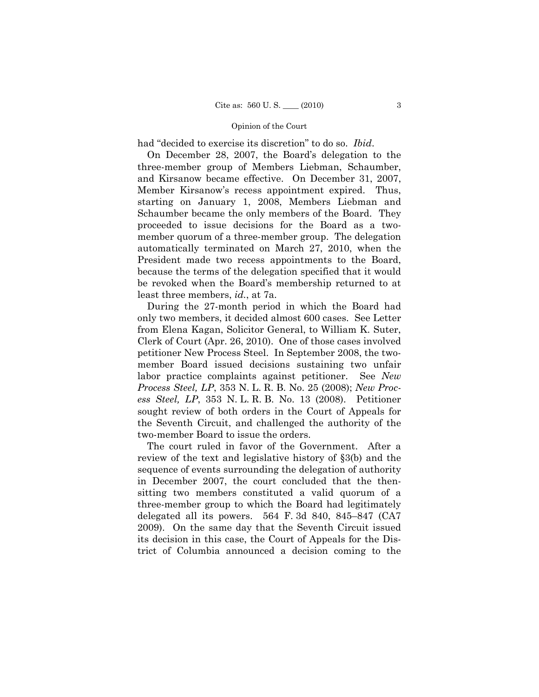had "decided to exercise its discretion" to do so. *Ibid*.

On December 28, 2007, the Board's delegation to the three-member group of Members Liebman, Schaumber, and Kirsanow became effective. On December 31, 2007, Member Kirsanow's recess appointment expired. Thus, starting on January 1, 2008, Members Liebman and Schaumber became the only members of the Board. They proceeded to issue decisions for the Board as a twomember quorum of a three-member group. The delegation automatically terminated on March 27, 2010, when the President made two recess appointments to the Board, because the terms of the delegation specified that it would be revoked when the Board's membership returned to at least three members, *id.*, at 7a.

During the 27-month period in which the Board had only two members, it decided almost 600 cases. See Letter from Elena Kagan, Solicitor General, to William K. Suter, Clerk of Court (Apr. 26, 2010). One of those cases involved petitioner New Process Steel. In September 2008, the twomember Board issued decisions sustaining two unfair labor practice complaints against petitioner. See *New Process Steel, LP*, 353 N. L. R. B. No. 25 (2008); *New Process Steel, LP*, 353 N. L. R. B. No. 13 (2008). Petitioner sought review of both orders in the Court of Appeals for the Seventh Circuit, and challenged the authority of the two-member Board to issue the orders.

The court ruled in favor of the Government. After a review of the text and legislative history of §3(b) and the sequence of events surrounding the delegation of authority in December 2007, the court concluded that the thensitting two members constituted a valid quorum of a three-member group to which the Board had legitimately delegated all its powers. 564 F. 3d 840, 845–847 (CA7 2009). On the same day that the Seventh Circuit issued its decision in this case, the Court of Appeals for the District of Columbia announced a decision coming to the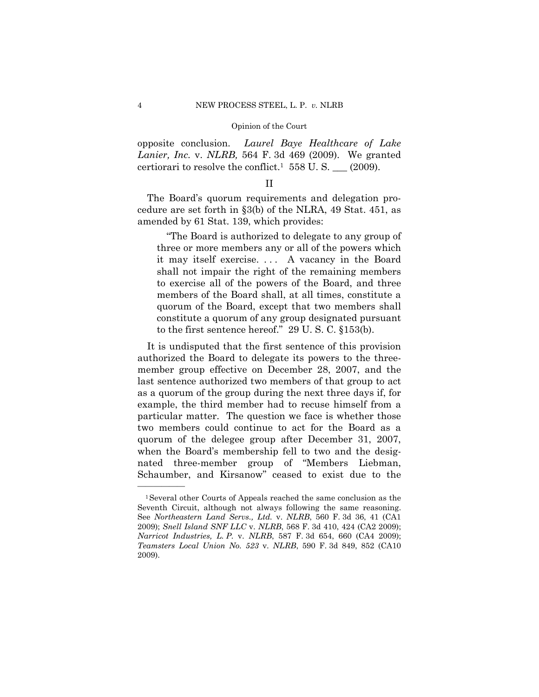opposite conclusion. *Laurel Baye Healthcare of Lake Lanier, Inc.* v. *NLRB,* 564 F. 3d 469 (2009). We granted certiorari to resolve the conflict.<sup>1</sup> 558 U.S.  $\_\_$  (2009).

# II

The Board's quorum requirements and delegation procedure are set forth in §3(b) of the NLRA, 49 Stat. 451, as amended by 61 Stat. 139, which provides:

"The Board is authorized to delegate to any group of three or more members any or all of the powers which it may itself exercise. . . . A vacancy in the Board shall not impair the right of the remaining members to exercise all of the powers of the Board, and three members of the Board shall, at all times, constitute a quorum of the Board, except that two members shall constitute a quorum of any group designated pursuant to the first sentence hereof." 29 U. S. C. §153(b).

It is undisputed that the first sentence of this provision authorized the Board to delegate its powers to the threemember group effective on December 28, 2007, and the last sentence authorized two members of that group to act as a quorum of the group during the next three days if, for example, the third member had to recuse himself from a particular matter. The question we face is whether those two members could continue to act for the Board as a quorum of the delegee group after December 31, 2007, when the Board's membership fell to two and the designated three-member group of "Members Liebman, Schaumber, and Kirsanow" ceased to exist due to the

<sup>1</sup>Several other Courts of Appeals reached the same conclusion as the Seventh Circuit, although not always following the same reasoning. See *Northeastern Land Servs., Ltd.* v. *NLRB*, 560 F. 3d 36, 41 (CA1 2009); *Snell Island SNF LLC* v. *NLRB*, 568 F. 3d 410, 424 (CA2 2009); *Narricot Industries, L. P.* v. *NLRB*, 587 F. 3d 654, 660 (CA4 2009); *Teamsters Local Union No. 523* v. *NLRB*, 590 F. 3d 849, 852 (CA10 2009).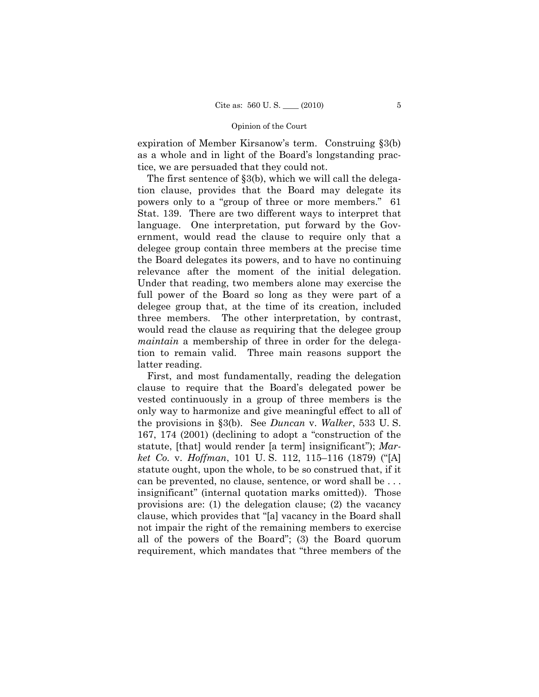expiration of Member Kirsanow's term. Construing §3(b) as a whole and in light of the Board's longstanding practice, we are persuaded that they could not.

The first sentence of §3(b), which we will call the delegation clause, provides that the Board may delegate its powers only to a "group of three or more members." 61 Stat. 139. There are two different ways to interpret that language. One interpretation, put forward by the Government, would read the clause to require only that a delegee group contain three members at the precise time the Board delegates its powers, and to have no continuing relevance after the moment of the initial delegation. Under that reading, two members alone may exercise the full power of the Board so long as they were part of a delegee group that, at the time of its creation, included three members. The other interpretation, by contrast, would read the clause as requiring that the delegee group *maintain* a membership of three in order for the delegation to remain valid. Three main reasons support the latter reading.

First, and most fundamentally, reading the delegation clause to require that the Board's delegated power be vested continuously in a group of three members is the only way to harmonize and give meaningful effect to all of the provisions in §3(b). See *Duncan* v. *Walker*, 533 U. S. 167, 174 (2001) (declining to adopt a "construction of the statute, [that] would render [a term] insignificant"); *Market Co.* v. *Hoffman*, 101 U. S. 112, 115–116 (1879) ("[A] statute ought, upon the whole, to be so construed that, if it can be prevented, no clause, sentence, or word shall be . . . insignificant" (internal quotation marks omitted)). Those provisions are: (1) the delegation clause; (2) the vacancy clause, which provides that "[a] vacancy in the Board shall not impair the right of the remaining members to exercise all of the powers of the Board"; (3) the Board quorum requirement, which mandates that "three members of the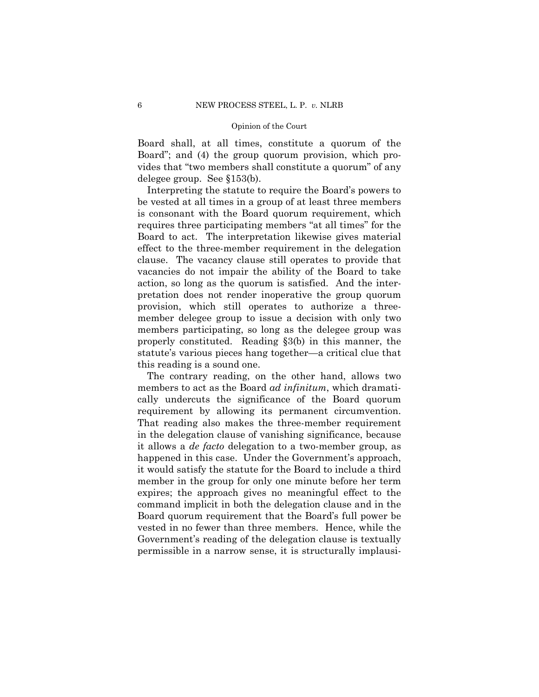Board shall, at all times, constitute a quorum of the Board"; and (4) the group quorum provision, which provides that "two members shall constitute a quorum" of any delegee group. See §153(b).

Interpreting the statute to require the Board's powers to be vested at all times in a group of at least three members is consonant with the Board quorum requirement, which requires three participating members "at all times" for the Board to act. The interpretation likewise gives material effect to the three-member requirement in the delegation clause. The vacancy clause still operates to provide that vacancies do not impair the ability of the Board to take action, so long as the quorum is satisfied. And the interpretation does not render inoperative the group quorum provision, which still operates to authorize a threemember delegee group to issue a decision with only two members participating, so long as the delegee group was properly constituted. Reading §3(b) in this manner, the statute's various pieces hang together—a critical clue that this reading is a sound one.

The contrary reading, on the other hand, allows two members to act as the Board *ad infinitum*, which dramatically undercuts the significance of the Board quorum requirement by allowing its permanent circumvention. That reading also makes the three-member requirement in the delegation clause of vanishing significance, because it allows a *de facto* delegation to a two-member group, as happened in this case. Under the Government's approach, it would satisfy the statute for the Board to include a third member in the group for only one minute before her term expires; the approach gives no meaningful effect to the command implicit in both the delegation clause and in the Board quorum requirement that the Board's full power be vested in no fewer than three members. Hence, while the Government's reading of the delegation clause is textually permissible in a narrow sense, it is structurally implausi-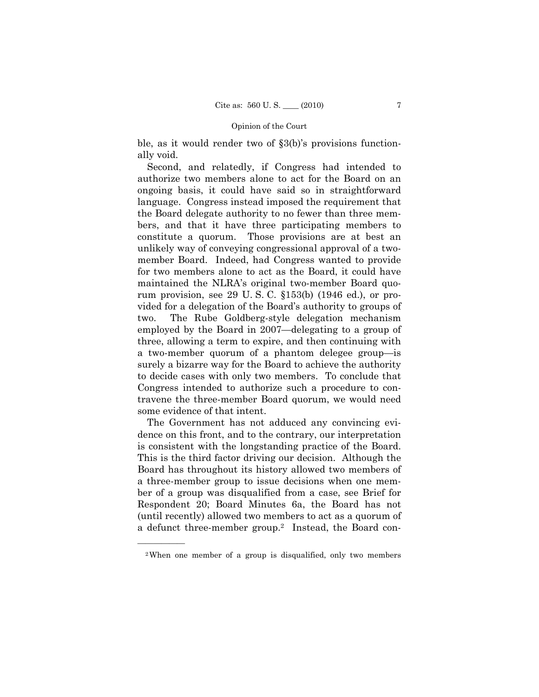ble, as it would render two of §3(b)'s provisions functionally void.

Second, and relatedly, if Congress had intended to authorize two members alone to act for the Board on an ongoing basis, it could have said so in straightforward language. Congress instead imposed the requirement that the Board delegate authority to no fewer than three members, and that it have three participating members to constitute a quorum. Those provisions are at best an unlikely way of conveying congressional approval of a twomember Board. Indeed, had Congress wanted to provide for two members alone to act as the Board, it could have maintained the NLRA's original two-member Board quorum provision, see 29 U. S. C. §153(b) (1946 ed.), or provided for a delegation of the Board's authority to groups of two. The Rube Goldberg-style delegation mechanism employed by the Board in 2007—delegating to a group of three, allowing a term to expire, and then continuing with a two-member quorum of a phantom delegee group—is surely a bizarre way for the Board to achieve the authority to decide cases with only two members. To conclude that Congress intended to authorize such a procedure to contravene the three-member Board quorum, we would need some evidence of that intent.

The Government has not adduced any convincing evidence on this front, and to the contrary, our interpretation is consistent with the longstanding practice of the Board. This is the third factor driving our decision. Although the Board has throughout its history allowed two members of a three-member group to issue decisions when one member of a group was disqualified from a case, see Brief for Respondent 20; Board Minutes 6a, the Board has not (until recently) allowed two members to act as a quorum of a defunct three-member group.2 Instead, the Board con-

<sup>2</sup>When one member of a group is disqualified, only two members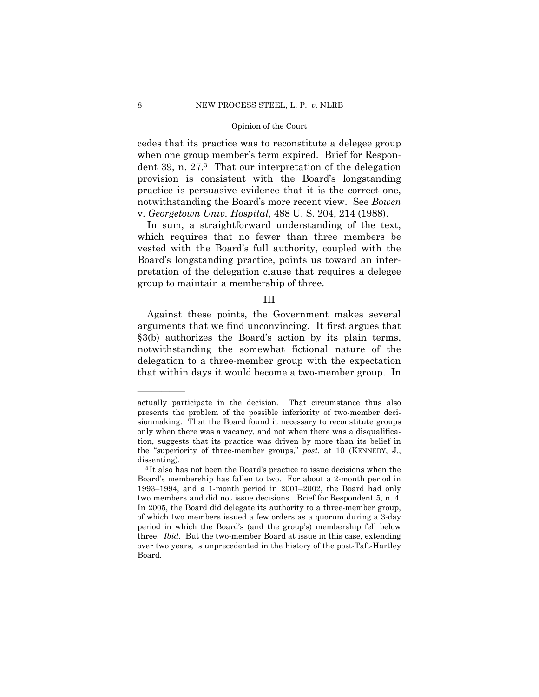cedes that its practice was to reconstitute a delegee group when one group member's term expired. Brief for Respondent 39, n. 27.3 That our interpretation of the delegation provision is consistent with the Board's longstanding practice is persuasive evidence that it is the correct one, notwithstanding the Board's more recent view. See *Bowen*  v. *Georgetown Univ. Hospital*, 488 U. S. 204, 214 (1988).

In sum, a straightforward understanding of the text, which requires that no fewer than three members be vested with the Board's full authority, coupled with the Board's longstanding practice, points us toward an interpretation of the delegation clause that requires a delegee group to maintain a membership of three.

### III

Against these points, the Government makes several arguments that we find unconvincing. It first argues that §3(b) authorizes the Board's action by its plain terms, notwithstanding the somewhat fictional nature of the delegation to a three-member group with the expectation that within days it would become a two-member group. In

actually participate in the decision. That circumstance thus also presents the problem of the possible inferiority of two-member decisionmaking. That the Board found it necessary to reconstitute groups only when there was a vacancy, and not when there was a disqualification, suggests that its practice was driven by more than its belief in the "superiority of three-member groups," *post*, at 10 (KENNEDY, J., dissenting).<br><sup>3</sup>It also has not been the Board's practice to issue decisions when the

Board's membership has fallen to two. For about a 2-month period in 1993–1994, and a 1-month period in 2001–2002, the Board had only two members and did not issue decisions. Brief for Respondent 5, n. 4. In 2005, the Board did delegate its authority to a three-member group, of which two members issued a few orders as a quorum during a 3-day period in which the Board's (and the group's) membership fell below three. *Ibid.* But the two-member Board at issue in this case, extending over two years, is unprecedented in the history of the post-Taft-Hartley Board.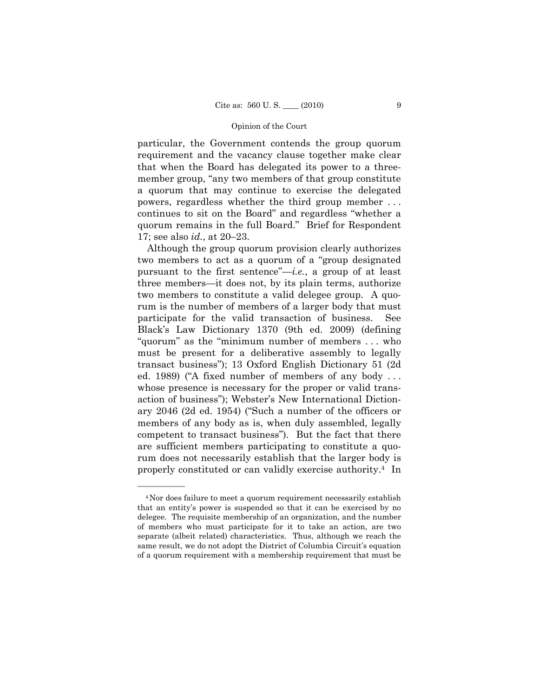particular, the Government contends the group quorum requirement and the vacancy clause together make clear that when the Board has delegated its power to a threemember group, "any two members of that group constitute a quorum that may continue to exercise the delegated powers, regardless whether the third group member . . . continues to sit on the Board" and regardless "whether a quorum remains in the full Board." Brief for Respondent 17; see also *id.*, at 20–23.

Although the group quorum provision clearly authorizes two members to act as a quorum of a "group designated pursuant to the first sentence"—*i.e.*, a group of at least three members—it does not, by its plain terms, authorize two members to constitute a valid delegee group. A quorum is the number of members of a larger body that must participate for the valid transaction of business. See Black's Law Dictionary 1370 (9th ed. 2009) (defining "quorum" as the "minimum number of members . . . who must be present for a deliberative assembly to legally transact business"); 13 Oxford English Dictionary 51 (2d ed. 1989) ("A fixed number of members of any body . . . whose presence is necessary for the proper or valid transaction of business"); Webster's New International Dictionary 2046 (2d ed. 1954) ("Such a number of the officers or members of any body as is, when duly assembled, legally competent to transact business"). But the fact that there are sufficient members participating to constitute a quorum does not necessarily establish that the larger body is properly constituted or can validly exercise authority.4 In

<sup>4</sup>Nor does failure to meet a quorum requirement necessarily establish that an entity's power is suspended so that it can be exercised by no delegee. The requisite membership of an organization, and the number of members who must participate for it to take an action, are two separate (albeit related) characteristics. Thus, although we reach the same result, we do not adopt the District of Columbia Circuit's equation of a quorum requirement with a membership requirement that must be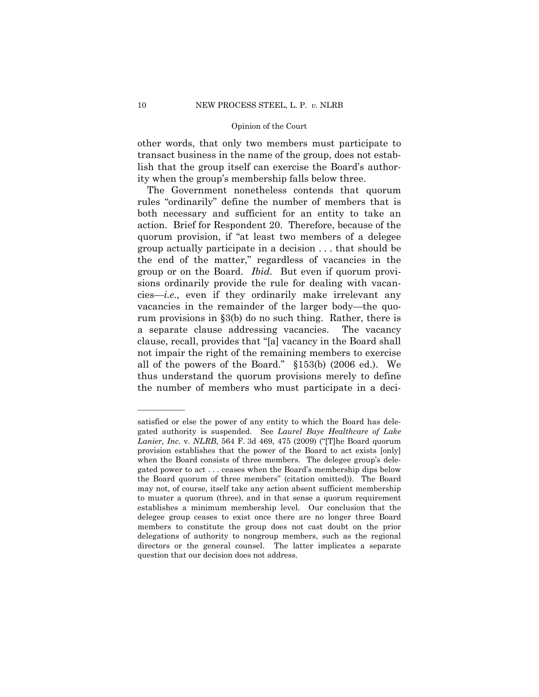other words, that only two members must participate to transact business in the name of the group, does not establish that the group itself can exercise the Board's authority when the group's membership falls below three.

The Government nonetheless contends that quorum rules "ordinarily" define the number of members that is both necessary and sufficient for an entity to take an action. Brief for Respondent 20. Therefore, because of the quorum provision, if "at least two members of a delegee group actually participate in a decision . . . that should be the end of the matter," regardless of vacancies in the group or on the Board. *Ibid.* But even if quorum provisions ordinarily provide the rule for dealing with vacancies—*i.e.*, even if they ordinarily make irrelevant any vacancies in the remainder of the larger body—the quorum provisions in §3(b) do no such thing. Rather, there is a separate clause addressing vacancies. The vacancy clause, recall, provides that "[a] vacancy in the Board shall not impair the right of the remaining members to exercise all of the powers of the Board." §153(b) (2006 ed.). We thus understand the quorum provisions merely to define the number of members who must participate in a deci-

satisfied or else the power of any entity to which the Board has delegated authority is suspended. See *Laurel Baye Healthcare of Lake Lanier, Inc.* v. *NLRB*, 564 F. 3d 469, 475 (2009) ("[T]he Board quorum provision establishes that the power of the Board to act exists [only] when the Board consists of three members. The delegee group's delegated power to act . . . ceases when the Board's membership dips below the Board quorum of three members" (citation omitted)). The Board may not, of course, itself take any action absent sufficient membership to muster a quorum (three), and in that sense a quorum requirement establishes a minimum membership level. Our conclusion that the delegee group ceases to exist once there are no longer three Board members to constitute the group does not cast doubt on the prior delegations of authority to nongroup members, such as the regional directors or the general counsel. The latter implicates a separate question that our decision does not address.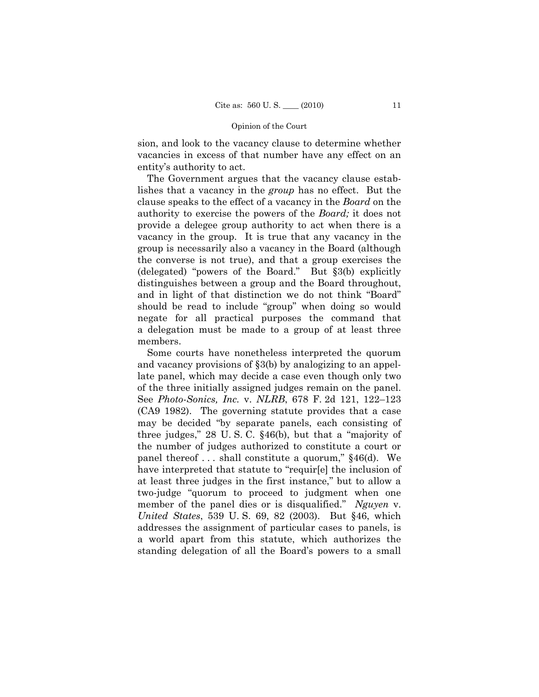sion, and look to the vacancy clause to determine whether vacancies in excess of that number have any effect on an entity's authority to act.

The Government argues that the vacancy clause establishes that a vacancy in the *group* has no effect. But the clause speaks to the effect of a vacancy in the *Board* on the authority to exercise the powers of the *Board;* it does not provide a delegee group authority to act when there is a vacancy in the group. It is true that any vacancy in the group is necessarily also a vacancy in the Board (although the converse is not true), and that a group exercises the (delegated) "powers of the Board." But §3(b) explicitly distinguishes between a group and the Board throughout, and in light of that distinction we do not think "Board" should be read to include "group" when doing so would negate for all practical purposes the command that a delegation must be made to a group of at least three members.

Some courts have nonetheless interpreted the quorum and vacancy provisions of §3(b) by analogizing to an appellate panel, which may decide a case even though only two of the three initially assigned judges remain on the panel. See *Photo-Sonics, Inc.* v. *NLRB*, 678 F. 2d 121, 122–123 (CA9 1982). The governing statute provides that a case may be decided "by separate panels, each consisting of three judges," 28 U. S. C. §46(b), but that a "majority of the number of judges authorized to constitute a court or panel thereof . . . shall constitute a quorum," §46(d). We have interpreted that statute to "requir[e] the inclusion of at least three judges in the first instance," but to allow a two-judge "quorum to proceed to judgment when one member of the panel dies or is disqualified." *Nguyen* v. *United States*, 539 U. S. 69, 82 (2003). But §46, which addresses the assignment of particular cases to panels, is a world apart from this statute, which authorizes the standing delegation of all the Board's powers to a small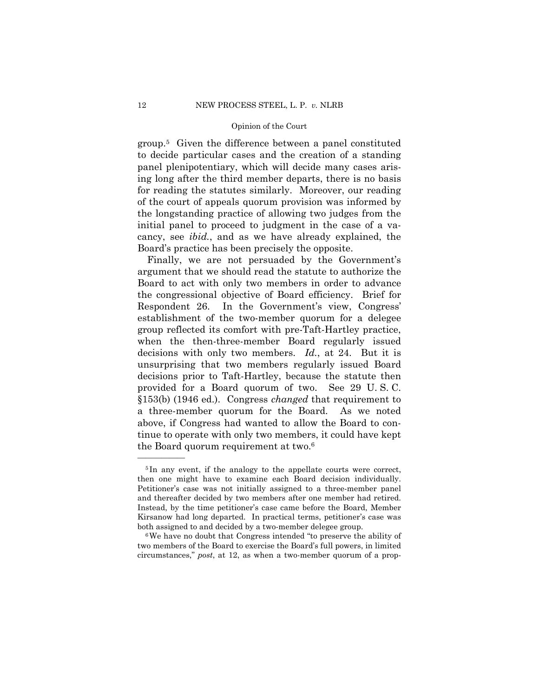group.5 Given the difference between a panel constituted to decide particular cases and the creation of a standing panel plenipotentiary, which will decide many cases arising long after the third member departs, there is no basis for reading the statutes similarly. Moreover, our reading of the court of appeals quorum provision was informed by the longstanding practice of allowing two judges from the initial panel to proceed to judgment in the case of a vacancy, see *ibid.*, and as we have already explained, the Board's practice has been precisely the opposite.

Finally, we are not persuaded by the Government's argument that we should read the statute to authorize the Board to act with only two members in order to advance the congressional objective of Board efficiency. Brief for Respondent 26. In the Government's view, Congress' establishment of the two-member quorum for a delegee group reflected its comfort with pre-Taft-Hartley practice, when the then-three-member Board regularly issued decisions with only two members. *Id.*, at 24. But it is unsurprising that two members regularly issued Board decisions prior to Taft-Hartley, because the statute then provided for a Board quorum of two. See 29 U. S. C. §153(b) (1946 ed.). Congress *changed* that requirement to a three-member quorum for the Board. As we noted above, if Congress had wanted to allow the Board to continue to operate with only two members, it could have kept the Board quorum requirement at two.6

<sup>&</sup>lt;sup>5</sup>In any event, if the analogy to the appellate courts were correct, then one might have to examine each Board decision individually. Petitioner's case was not initially assigned to a three-member panel and thereafter decided by two members after one member had retired. Instead, by the time petitioner's case came before the Board, Member Kirsanow had long departed. In practical terms, petitioner's case was both assigned to and decided by a two-member delegee group.<br><sup>6</sup>We have no doubt that Congress intended "to preserve the ability of

two members of the Board to exercise the Board's full powers, in limited circumstances," *post*, at 12, as when a two-member quorum of a prop-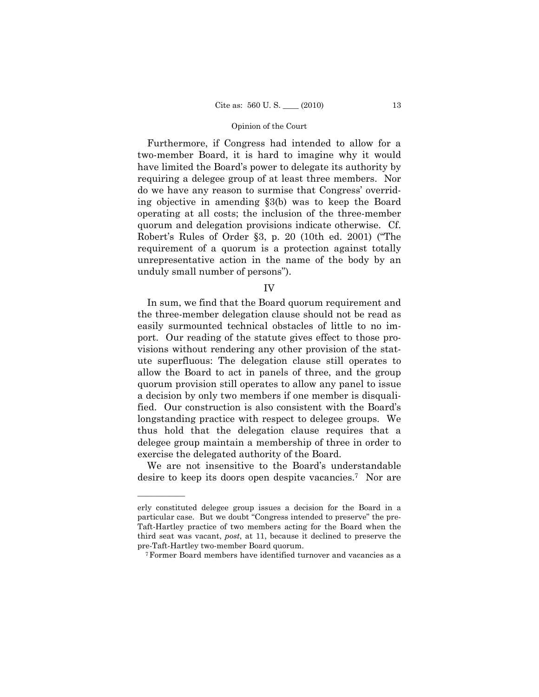Furthermore, if Congress had intended to allow for a two-member Board, it is hard to imagine why it would have limited the Board's power to delegate its authority by requiring a delegee group of at least three members. Nor do we have any reason to surmise that Congress' overriding objective in amending §3(b) was to keep the Board operating at all costs; the inclusion of the three-member quorum and delegation provisions indicate otherwise. Cf. Robert's Rules of Order §3, p. 20 (10th ed. 2001) ("The requirement of a quorum is a protection against totally unrepresentative action in the name of the body by an unduly small number of persons").

IV

In sum, we find that the Board quorum requirement and the three-member delegation clause should not be read as easily surmounted technical obstacles of little to no import. Our reading of the statute gives effect to those provisions without rendering any other provision of the statute superfluous: The delegation clause still operates to allow the Board to act in panels of three, and the group quorum provision still operates to allow any panel to issue a decision by only two members if one member is disqualified. Our construction is also consistent with the Board's longstanding practice with respect to delegee groups. We thus hold that the delegation clause requires that a delegee group maintain a membership of three in order to exercise the delegated authority of the Board.

We are not insensitive to the Board's understandable desire to keep its doors open despite vacancies.7 Nor are

erly constituted delegee group issues a decision for the Board in a particular case. But we doubt "Congress intended to preserve" the pre-Taft-Hartley practice of two members acting for the Board when the third seat was vacant, *post*, at 11, because it declined to preserve the pre-Taft-Hartley two-member Board quorum. 7Former Board members have identified turnover and vacancies as a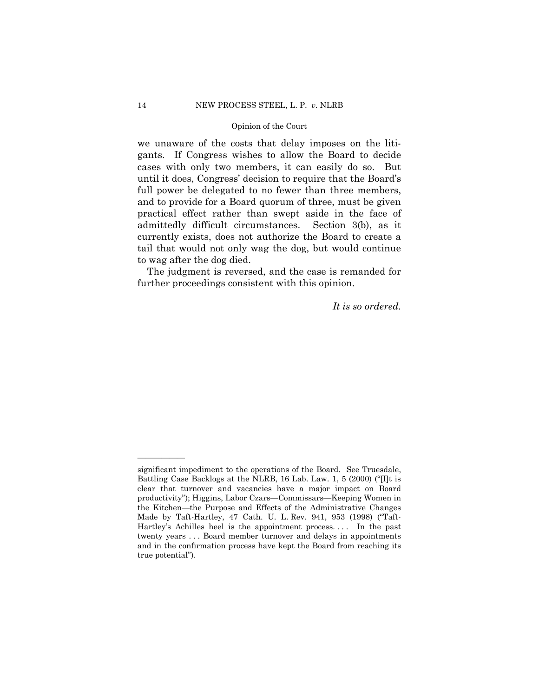we unaware of the costs that delay imposes on the litigants. If Congress wishes to allow the Board to decide cases with only two members, it can easily do so. But until it does, Congress' decision to require that the Board's full power be delegated to no fewer than three members, and to provide for a Board quorum of three, must be given practical effect rather than swept aside in the face of admittedly difficult circumstances. Section 3(b), as it currently exists, does not authorize the Board to create a tail that would not only wag the dog, but would continue to wag after the dog died.

The judgment is reversed, and the case is remanded for further proceedings consistent with this opinion.

*It is so ordered.* 

significant impediment to the operations of the Board. See Truesdale, Battling Case Backlogs at the NLRB, 16 Lab. Law. 1, 5 (2000) ("[I]t is clear that turnover and vacancies have a major impact on Board productivity"); Higgins, Labor Czars—Commissars—Keeping Women in the Kitchen—the Purpose and Effects of the Administrative Changes Made by Taft-Hartley, 47 Cath. U. L. Rev. 941, 953 (1998) ("Taft-Hartley's Achilles heel is the appointment process. . . . In the past twenty years . . . Board member turnover and delays in appointments and in the confirmation process have kept the Board from reaching its true potential").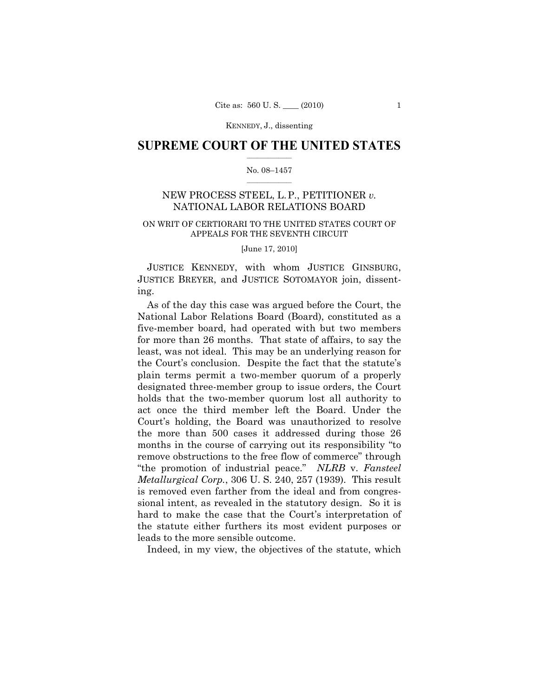### $\frac{1}{2}$  ,  $\frac{1}{2}$  ,  $\frac{1}{2}$  ,  $\frac{1}{2}$  ,  $\frac{1}{2}$  ,  $\frac{1}{2}$  ,  $\frac{1}{2}$ **SUPREME COURT OF THE UNITED STATES**

### $\frac{1}{2}$  ,  $\frac{1}{2}$  ,  $\frac{1}{2}$  ,  $\frac{1}{2}$  ,  $\frac{1}{2}$  ,  $\frac{1}{2}$ No. 08–1457

# NEW PROCESS STEEL, L.P., PETITIONER *v.*  NATIONAL LABOR RELATIONS BOARD

# ON WRIT OF CERTIORARI TO THE UNITED STATES COURT OF APPEALS FOR THE SEVENTH CIRCUIT

[June 17, 2010]

JUSTICE KENNEDY, with whom JUSTICE GINSBURG, JUSTICE BREYER, and JUSTICE SOTOMAYOR join, dissenting.

As of the day this case was argued before the Court, the National Labor Relations Board (Board), constituted as a five-member board, had operated with but two members for more than 26 months. That state of affairs, to say the least, was not ideal. This may be an underlying reason for the Court's conclusion. Despite the fact that the statute's plain terms permit a two-member quorum of a properly designated three-member group to issue orders, the Court holds that the two-member quorum lost all authority to act once the third member left the Board. Under the Court's holding, the Board was unauthorized to resolve the more than 500 cases it addressed during those 26 months in the course of carrying out its responsibility "to remove obstructions to the free flow of commerce" through "the promotion of industrial peace." *NLRB* v. *Fansteel Metallurgical Corp.*, 306 U. S. 240, 257 (1939). This result is removed even farther from the ideal and from congressional intent, as revealed in the statutory design. So it is hard to make the case that the Court's interpretation of the statute either furthers its most evident purposes or leads to the more sensible outcome.

Indeed, in my view, the objectives of the statute, which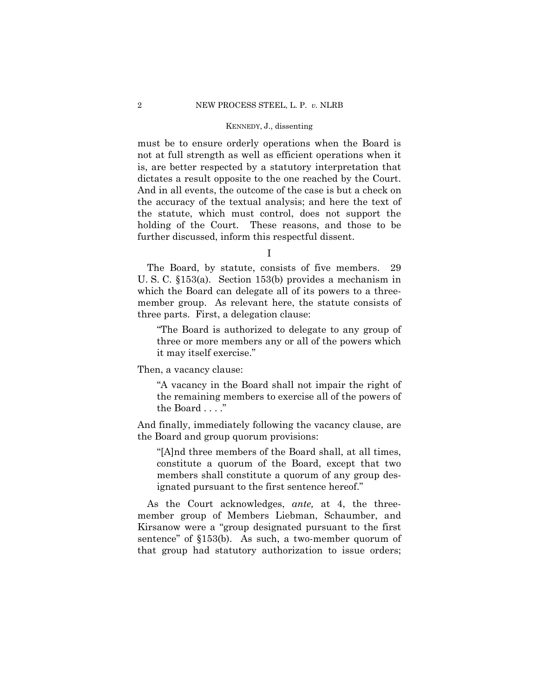must be to ensure orderly operations when the Board is not at full strength as well as efficient operations when it is, are better respected by a statutory interpretation that dictates a result opposite to the one reached by the Court. And in all events, the outcome of the case is but a check on the accuracy of the textual analysis; and here the text of the statute, which must control, does not support the holding of the Court. These reasons, and those to be further discussed, inform this respectful dissent.

I

The Board, by statute, consists of five members. 29 U. S. C. §153(a). Section 153(b) provides a mechanism in which the Board can delegate all of its powers to a threemember group. As relevant here, the statute consists of three parts. First, a delegation clause:

"The Board is authorized to delegate to any group of three or more members any or all of the powers which it may itself exercise."

Then, a vacancy clause:

"A vacancy in the Board shall not impair the right of the remaining members to exercise all of the powers of the Board . . . ."

And finally, immediately following the vacancy clause, are the Board and group quorum provisions:

"[A]nd three members of the Board shall, at all times, constitute a quorum of the Board, except that two members shall constitute a quorum of any group designated pursuant to the first sentence hereof."

As the Court acknowledges, *ante,* at 4, the threemember group of Members Liebman, Schaumber, and Kirsanow were a "group designated pursuant to the first sentence" of §153(b). As such, a two-member quorum of that group had statutory authorization to issue orders;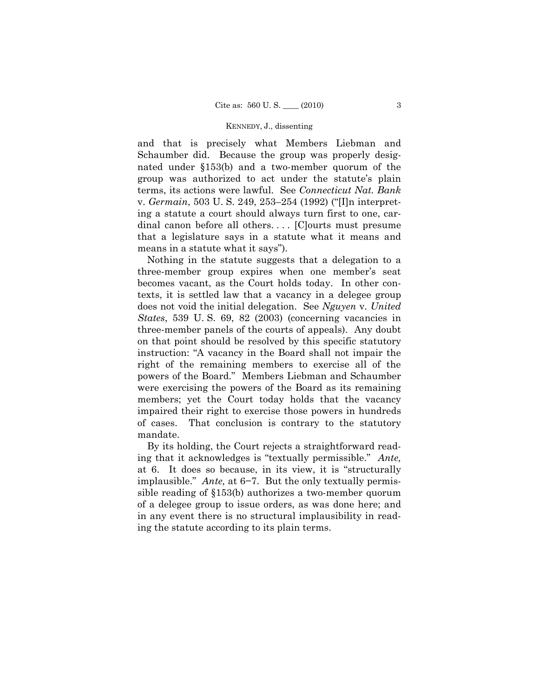and that is precisely what Members Liebman and Schaumber did. Because the group was properly designated under §153(b) and a two-member quorum of the group was authorized to act under the statute's plain terms, its actions were lawful. See *Connecticut Nat. Bank*  v. *Germain*, 503 U. S. 249, 253–254 (1992) ("[I]n interpreting a statute a court should always turn first to one, cardinal canon before all others.... [C]ourts must presume that a legislature says in a statute what it means and means in a statute what it says").

Nothing in the statute suggests that a delegation to a three-member group expires when one member's seat becomes vacant, as the Court holds today. In other contexts, it is settled law that a vacancy in a delegee group does not void the initial delegation. See *Nguyen* v. *United States*, 539 U. S. 69, 82 (2003) (concerning vacancies in three-member panels of the courts of appeals). Any doubt on that point should be resolved by this specific statutory instruction: "A vacancy in the Board shall not impair the right of the remaining members to exercise all of the powers of the Board." Members Liebman and Schaumber were exercising the powers of the Board as its remaining members; yet the Court today holds that the vacancy impaired their right to exercise those powers in hundreds of cases. That conclusion is contrary to the statutory mandate.

By its holding, the Court rejects a straightforward reading that it acknowledges is "textually permissible." *Ante,*  at 6. It does so because, in its view, it is "structurally implausible." *Ante,* at 6−7. But the only textually permissible reading of §153(b) authorizes a two-member quorum of a delegee group to issue orders, as was done here; and in any event there is no structural implausibility in reading the statute according to its plain terms.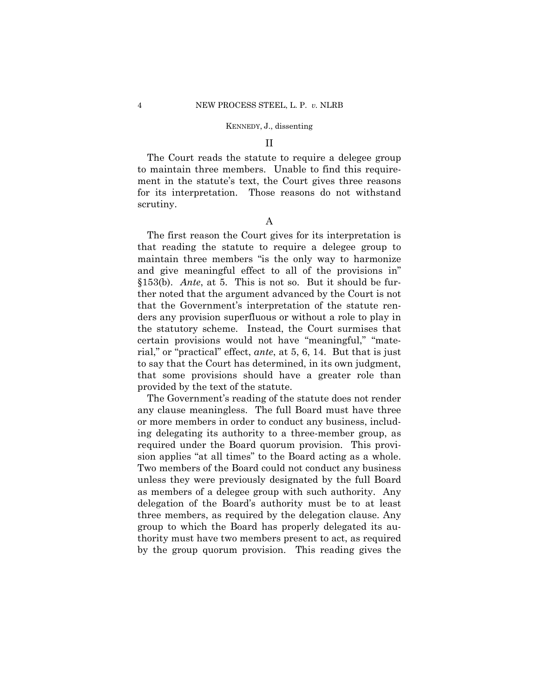### II

The Court reads the statute to require a delegee group to maintain three members. Unable to find this requirement in the statute's text, the Court gives three reasons for its interpretation. Those reasons do not withstand scrutiny.

# A

The first reason the Court gives for its interpretation is that reading the statute to require a delegee group to maintain three members "is the only way to harmonize and give meaningful effect to all of the provisions in" §153(b). *Ante*, at 5. This is not so. But it should be further noted that the argument advanced by the Court is not that the Government's interpretation of the statute renders any provision superfluous or without a role to play in the statutory scheme. Instead, the Court surmises that certain provisions would not have "meaningful," "material," or "practical" effect, *ante*, at 5, 6, 14. But that is just to say that the Court has determined, in its own judgment, that some provisions should have a greater role than provided by the text of the statute.

The Government's reading of the statute does not render any clause meaningless. The full Board must have three or more members in order to conduct any business, including delegating its authority to a three-member group, as required under the Board quorum provision. This provision applies "at all times" to the Board acting as a whole. Two members of the Board could not conduct any business unless they were previously designated by the full Board as members of a delegee group with such authority. Any delegation of the Board's authority must be to at least three members, as required by the delegation clause. Any group to which the Board has properly delegated its authority must have two members present to act, as required by the group quorum provision. This reading gives the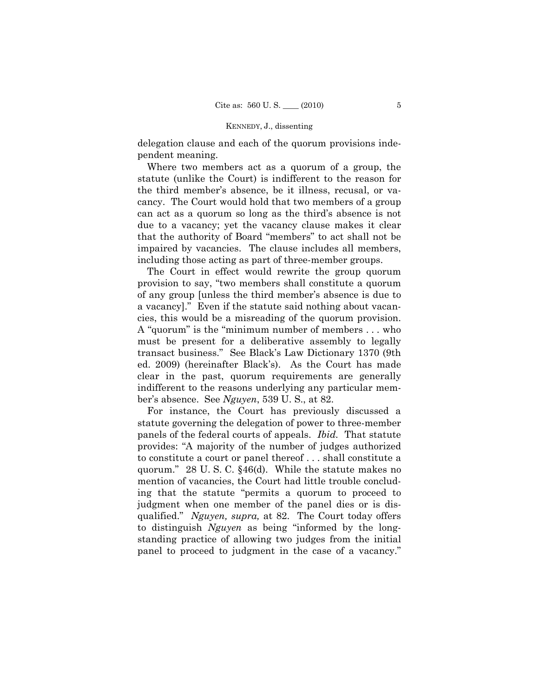delegation clause and each of the quorum provisions independent meaning.

Where two members act as a quorum of a group, the statute (unlike the Court) is indifferent to the reason for the third member's absence, be it illness, recusal, or vacancy. The Court would hold that two members of a group can act as a quorum so long as the third's absence is not due to a vacancy; yet the vacancy clause makes it clear that the authority of Board "members" to act shall not be impaired by vacancies. The clause includes all members, including those acting as part of three-member groups.

The Court in effect would rewrite the group quorum provision to say, "two members shall constitute a quorum of any group [unless the third member's absence is due to a vacancy]." Even if the statute said nothing about vacancies, this would be a misreading of the quorum provision. A "quorum" is the "minimum number of members . . . who must be present for a deliberative assembly to legally transact business." See Black's Law Dictionary 1370 (9th ed. 2009) (hereinafter Black's). As the Court has made clear in the past, quorum requirements are generally indifferent to the reasons underlying any particular member's absence. See *Nguyen*, 539 U. S., at 82.

For instance, the Court has previously discussed a statute governing the delegation of power to three-member panels of the federal courts of appeals. *Ibid.* That statute provides: "A majority of the number of judges authorized to constitute a court or panel thereof . . . shall constitute a quorum." 28 U. S. C. §46(d). While the statute makes no mention of vacancies, the Court had little trouble concluding that the statute "permits a quorum to proceed to judgment when one member of the panel dies or is disqualified." *Nguyen, supra,* at 82. The Court today offers to distinguish *Nguyen* as being "informed by the longstanding practice of allowing two judges from the initial panel to proceed to judgment in the case of a vacancy."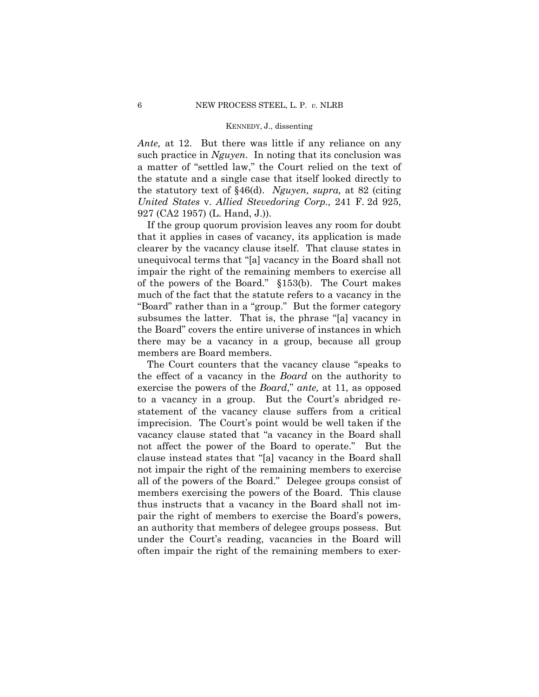*Ante,* at 12. But there was little if any reliance on any such practice in *Nguyen*. In noting that its conclusion was a matter of "settled law," the Court relied on the text of the statute and a single case that itself looked directly to the statutory text of §46(d). *Nguyen, supra,* at 82 (citing *United States* v. *Allied Stevedoring Corp.,* 241 F. 2d 925, 927 (CA2 1957) (L. Hand, J.)).

If the group quorum provision leaves any room for doubt that it applies in cases of vacancy, its application is made clearer by the vacancy clause itself. That clause states in unequivocal terms that "[a] vacancy in the Board shall not impair the right of the remaining members to exercise all of the powers of the Board." §153(b). The Court makes much of the fact that the statute refers to a vacancy in the "Board" rather than in a "group." But the former category subsumes the latter. That is, the phrase "[a] vacancy in the Board" covers the entire universe of instances in which there may be a vacancy in a group, because all group members are Board members.

The Court counters that the vacancy clause "speaks to the effect of a vacancy in the *Board* on the authority to exercise the powers of the *Board*," *ante,* at 11, as opposed to a vacancy in a group. But the Court's abridged restatement of the vacancy clause suffers from a critical imprecision. The Court's point would be well taken if the vacancy clause stated that "a vacancy in the Board shall not affect the power of the Board to operate." But the clause instead states that "[a] vacancy in the Board shall not impair the right of the remaining members to exercise all of the powers of the Board." Delegee groups consist of members exercising the powers of the Board. This clause thus instructs that a vacancy in the Board shall not impair the right of members to exercise the Board's powers, an authority that members of delegee groups possess. But under the Court's reading, vacancies in the Board will often impair the right of the remaining members to exer-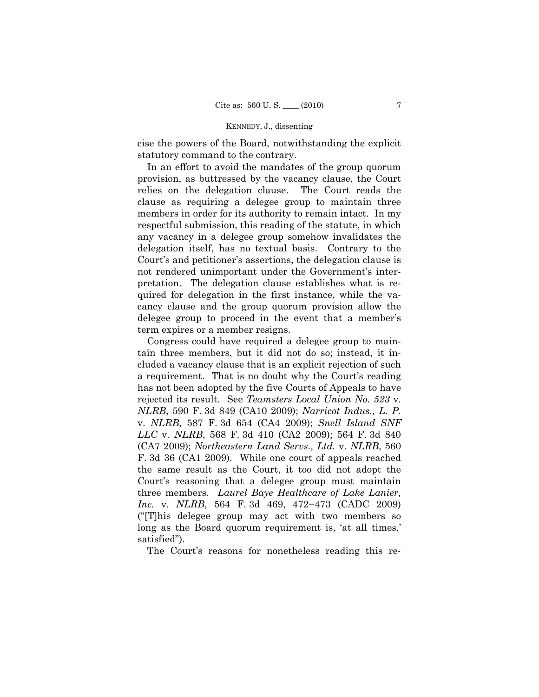cise the powers of the Board, notwithstanding the explicit statutory command to the contrary.

In an effort to avoid the mandates of the group quorum provision, as buttressed by the vacancy clause, the Court relies on the delegation clause. The Court reads the clause as requiring a delegee group to maintain three members in order for its authority to remain intact. In my respectful submission, this reading of the statute, in which any vacancy in a delegee group somehow invalidates the delegation itself, has no textual basis. Contrary to the Court's and petitioner's assertions, the delegation clause is not rendered unimportant under the Government's interpretation. The delegation clause establishes what is required for delegation in the first instance, while the vacancy clause and the group quorum provision allow the delegee group to proceed in the event that a member's term expires or a member resigns.

Congress could have required a delegee group to maintain three members, but it did not do so; instead, it included a vacancy clause that is an explicit rejection of such a requirement. That is no doubt why the Court's reading has not been adopted by the five Courts of Appeals to have rejected its result. See *Teamsters Local Union No. 523* v. *NLRB*, 590 F. 3d 849 (CA10 2009); *Narricot Indus., L. P.*  v. *NLRB*, 587 F. 3d 654 (CA4 2009); *Snell Island SNF LLC* v. *NLRB*, 568 F. 3d 410 (CA2 2009); 564 F. 3d 840 (CA7 2009); *Northeastern Land Servs., Ltd.* v. *NLRB*, 560 F. 3d 36 (CA1 2009). While one court of appeals reached the same result as the Court, it too did not adopt the Court's reasoning that a delegee group must maintain three members. *Laurel Baye Healthcare of Lake Lanier, Inc.* v. *NLRB*, 564 F. 3d 469, 472−473 (CADC 2009) ("[T]his delegee group may act with two members so long as the Board quorum requirement is, 'at all times,' satisfied").

The Court's reasons for nonetheless reading this re-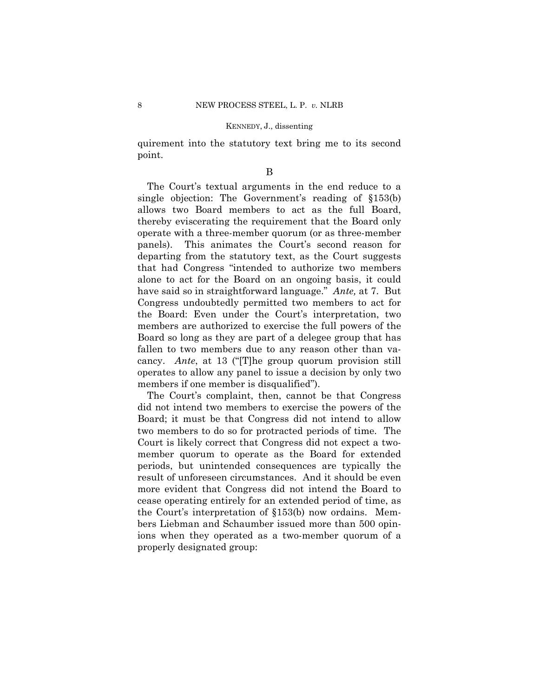quirement into the statutory text bring me to its second point.

#### B

The Court's textual arguments in the end reduce to a single objection: The Government's reading of §153(b) allows two Board members to act as the full Board, thereby eviscerating the requirement that the Board only operate with a three-member quorum (or as three-member panels). This animates the Court's second reason for departing from the statutory text, as the Court suggests that had Congress "intended to authorize two members alone to act for the Board on an ongoing basis, it could have said so in straightforward language." *Ante,* at 7. But Congress undoubtedly permitted two members to act for the Board: Even under the Court's interpretation, two members are authorized to exercise the full powers of the Board so long as they are part of a delegee group that has fallen to two members due to any reason other than vacancy. *Ante*, at 13 ("[T]he group quorum provision still operates to allow any panel to issue a decision by only two members if one member is disqualified").

The Court's complaint, then, cannot be that Congress did not intend two members to exercise the powers of the Board; it must be that Congress did not intend to allow two members to do so for protracted periods of time. The Court is likely correct that Congress did not expect a twomember quorum to operate as the Board for extended periods, but unintended consequences are typically the result of unforeseen circumstances. And it should be even more evident that Congress did not intend the Board to cease operating entirely for an extended period of time, as the Court's interpretation of §153(b) now ordains. Members Liebman and Schaumber issued more than 500 opinions when they operated as a two-member quorum of a properly designated group: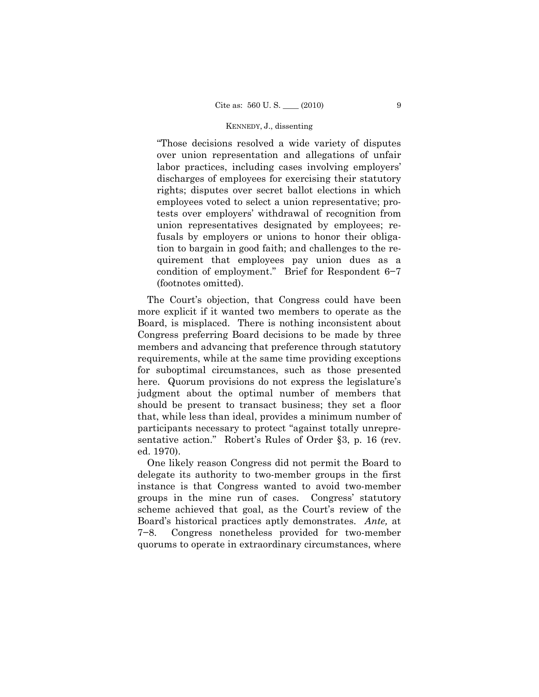"Those decisions resolved a wide variety of disputes over union representation and allegations of unfair labor practices, including cases involving employers' discharges of employees for exercising their statutory rights; disputes over secret ballot elections in which employees voted to select a union representative; protests over employers' withdrawal of recognition from union representatives designated by employees; refusals by employers or unions to honor their obligation to bargain in good faith; and challenges to the requirement that employees pay union dues as a condition of employment." Brief for Respondent 6−7 (footnotes omitted).

The Court's objection, that Congress could have been more explicit if it wanted two members to operate as the Board, is misplaced. There is nothing inconsistent about Congress preferring Board decisions to be made by three members and advancing that preference through statutory requirements, while at the same time providing exceptions for suboptimal circumstances, such as those presented here. Quorum provisions do not express the legislature's judgment about the optimal number of members that should be present to transact business; they set a floor that, while less than ideal, provides a minimum number of participants necessary to protect "against totally unrepresentative action." Robert's Rules of Order §3, p. 16 (rev. ed. 1970).

One likely reason Congress did not permit the Board to delegate its authority to two-member groups in the first instance is that Congress wanted to avoid two-member groups in the mine run of cases. Congress' statutory scheme achieved that goal, as the Court's review of the Board's historical practices aptly demonstrates. *Ante,* at 7−8. Congress nonetheless provided for two-member quorums to operate in extraordinary circumstances, where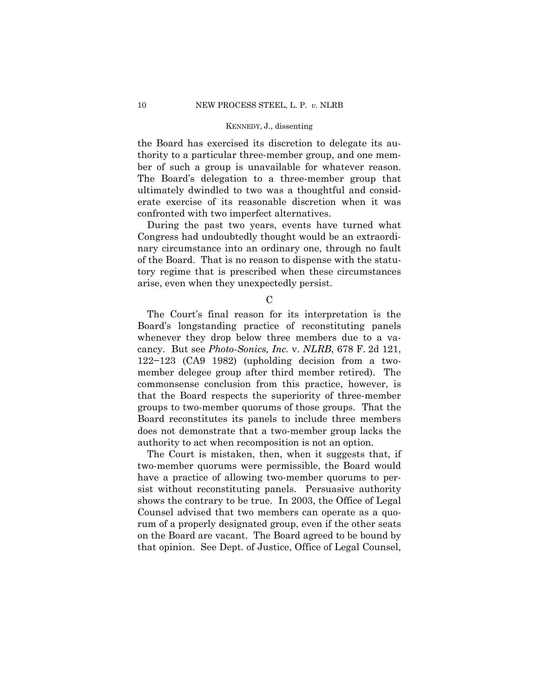the Board has exercised its discretion to delegate its authority to a particular three-member group, and one member of such a group is unavailable for whatever reason. The Board's delegation to a three-member group that ultimately dwindled to two was a thoughtful and considerate exercise of its reasonable discretion when it was confronted with two imperfect alternatives.

During the past two years, events have turned what Congress had undoubtedly thought would be an extraordinary circumstance into an ordinary one, through no fault of the Board. That is no reason to dispense with the statutory regime that is prescribed when these circumstances arise, even when they unexpectedly persist.

 $\mathcal{C}$ 

The Court's final reason for its interpretation is the Board's longstanding practice of reconstituting panels whenever they drop below three members due to a vacancy. But see *Photo-Sonics, Inc.* v. *NLRB*, 678 F. 2d 121, 122−123 (CA9 1982) (upholding decision from a twomember delegee group after third member retired). The commonsense conclusion from this practice, however, is that the Board respects the superiority of three-member groups to two-member quorums of those groups. That the Board reconstitutes its panels to include three members does not demonstrate that a two-member group lacks the authority to act when recomposition is not an option.

The Court is mistaken, then, when it suggests that, if two-member quorums were permissible, the Board would have a practice of allowing two-member quorums to persist without reconstituting panels. Persuasive authority shows the contrary to be true. In 2003, the Office of Legal Counsel advised that two members can operate as a quorum of a properly designated group, even if the other seats on the Board are vacant. The Board agreed to be bound by that opinion. See Dept. of Justice, Office of Legal Counsel,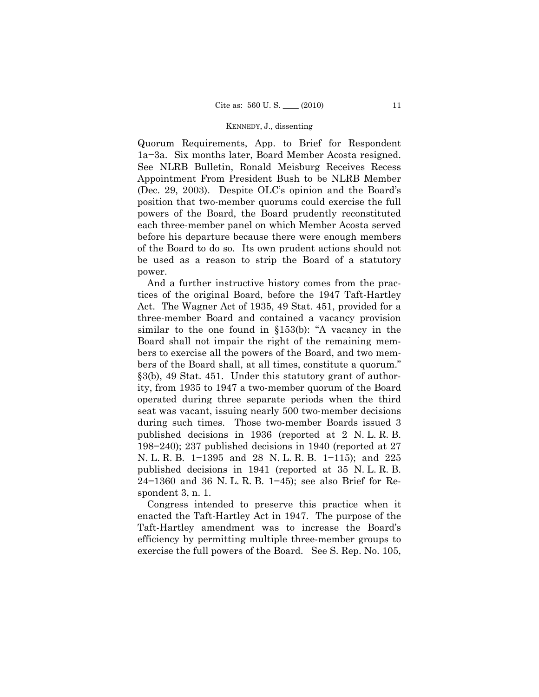Quorum Requirements, App. to Brief for Respondent 1a−3a. Six months later, Board Member Acosta resigned. See NLRB Bulletin, Ronald Meisburg Receives Recess Appointment From President Bush to be NLRB Member (Dec. 29, 2003). Despite OLC's opinion and the Board's position that two-member quorums could exercise the full powers of the Board, the Board prudently reconstituted each three-member panel on which Member Acosta served before his departure because there were enough members of the Board to do so. Its own prudent actions should not be used as a reason to strip the Board of a statutory power.

And a further instructive history comes from the practices of the original Board, before the 1947 Taft-Hartley Act. The Wagner Act of 1935, 49 Stat. 451, provided for a three-member Board and contained a vacancy provision similar to the one found in §153(b): "A vacancy in the Board shall not impair the right of the remaining members to exercise all the powers of the Board, and two members of the Board shall, at all times, constitute a quorum." §3(b), 49 Stat. 451. Under this statutory grant of authority, from 1935 to 1947 a two-member quorum of the Board operated during three separate periods when the third seat was vacant, issuing nearly 500 two-member decisions during such times. Those two-member Boards issued 3 published decisions in 1936 (reported at 2 N. L. R. B. 198−240); 237 published decisions in 1940 (reported at 27 N. L. R. B. 1–1395 and 28 N. L. R. B. 1–115); and 225 published decisions in 1941 (reported at 35 N. L. R. B. 24−1360 and 36 N. L. R. B. 1−45); see also Brief for Respondent 3, n. 1.

Congress intended to preserve this practice when it enacted the Taft-Hartley Act in 1947. The purpose of the Taft-Hartley amendment was to increase the Board's efficiency by permitting multiple three-member groups to exercise the full powers of the Board. See S. Rep. No. 105,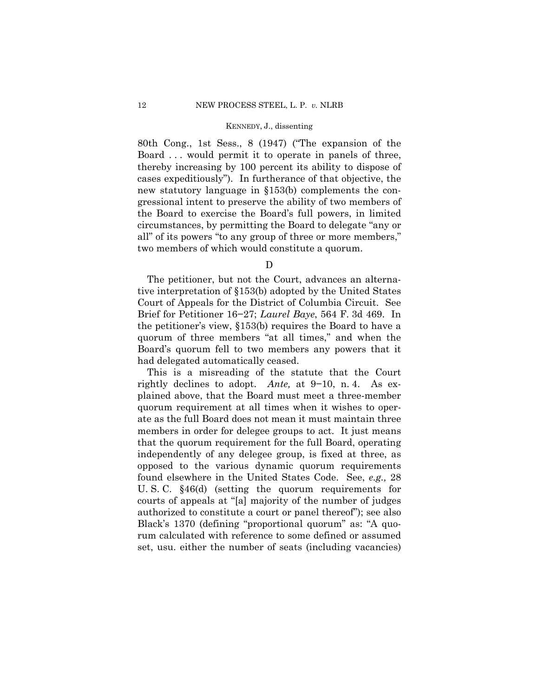80th Cong., 1st Sess., 8 (1947) ("The expansion of the Board . . . would permit it to operate in panels of three, thereby increasing by 100 percent its ability to dispose of cases expeditiously"). In furtherance of that objective, the new statutory language in §153(b) complements the congressional intent to preserve the ability of two members of the Board to exercise the Board's full powers, in limited circumstances, by permitting the Board to delegate "any or all" of its powers "to any group of three or more members," two members of which would constitute a quorum.

 $\mathbf D$ 

The petitioner, but not the Court, advances an alternative interpretation of §153(b) adopted by the United States Court of Appeals for the District of Columbia Circuit. See Brief for Petitioner 16−27; *Laurel Baye*, 564 F. 3d 469. In the petitioner's view, §153(b) requires the Board to have a quorum of three members "at all times," and when the Board's quorum fell to two members any powers that it had delegated automatically ceased.

This is a misreading of the statute that the Court rightly declines to adopt. *Ante,* at 9−10, n. 4. As explained above, that the Board must meet a three-member quorum requirement at all times when it wishes to operate as the full Board does not mean it must maintain three members in order for delegee groups to act. It just means that the quorum requirement for the full Board, operating independently of any delegee group, is fixed at three, as opposed to the various dynamic quorum requirements found elsewhere in the United States Code. See, *e.g.,* 28 U. S. C. §46(d) (setting the quorum requirements for courts of appeals at "[a] majority of the number of judges authorized to constitute a court or panel thereof"); see also Black's 1370 (defining "proportional quorum" as: "A quorum calculated with reference to some defined or assumed set, usu. either the number of seats (including vacancies)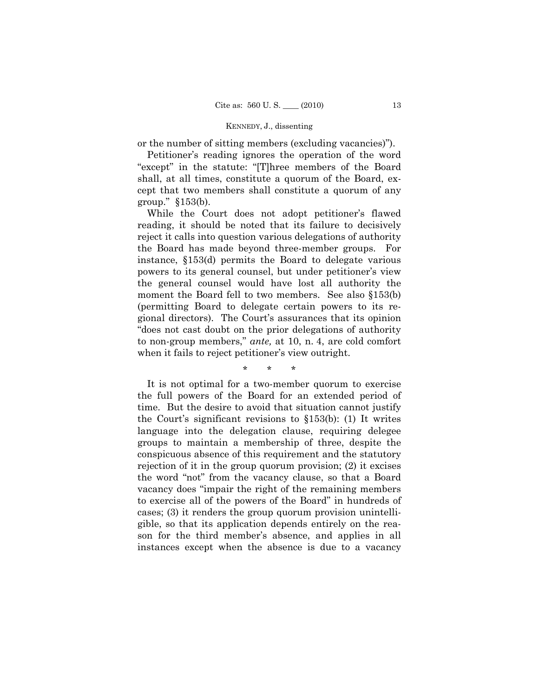or the number of sitting members (excluding vacancies)").

Petitioner's reading ignores the operation of the word "except" in the statute: "[T]hree members of the Board shall, at all times, constitute a quorum of the Board, except that two members shall constitute a quorum of any group." §153(b).

While the Court does not adopt petitioner's flawed reading, it should be noted that its failure to decisively reject it calls into question various delegations of authority the Board has made beyond three-member groups. For instance, §153(d) permits the Board to delegate various powers to its general counsel, but under petitioner's view the general counsel would have lost all authority the moment the Board fell to two members. See also §153(b) (permitting Board to delegate certain powers to its regional directors). The Court's assurances that its opinion "does not cast doubt on the prior delegations of authority to non-group members," *ante,* at 10, n. 4, are cold comfort when it fails to reject petitioner's view outright.

\* \* \*

It is not optimal for a two-member quorum to exercise the full powers of the Board for an extended period of time. But the desire to avoid that situation cannot justify the Court's significant revisions to §153(b): (1) It writes language into the delegation clause, requiring delegee groups to maintain a membership of three, despite the conspicuous absence of this requirement and the statutory rejection of it in the group quorum provision; (2) it excises the word "not" from the vacancy clause, so that a Board vacancy does "impair the right of the remaining members to exercise all of the powers of the Board" in hundreds of cases; (3) it renders the group quorum provision unintelligible, so that its application depends entirely on the reason for the third member's absence, and applies in all instances except when the absence is due to a vacancy